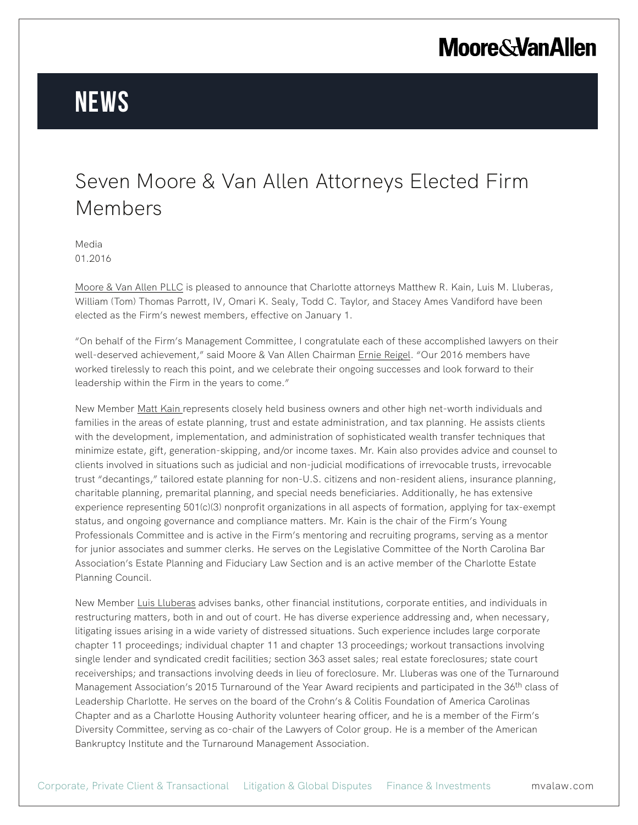# **Moore & Van Allen**

# **News**

### Seven Moore & Van Allen Attorneys Elected Firm Members

Media 01.2016

Moore & Van Allen PLLC is pleased to announce that Charlotte attorneys Matthew R. Kain, Luis M. Lluberas, William (Tom) Thomas Parrott, IV, Omari K. Sealy, Todd C. Taylor, and Stacey Ames Vandiford have been elected as the Firm's newest members, effective on January 1.

"On behalf of the Firm's Management Committee, I congratulate each of these accomplished lawyers on their well-deserved achievement," said Moore & Van Allen Chairman Ernie Reigel. "Our 2016 members have worked tirelessly to reach this point, and we celebrate their ongoing successes and look forward to their leadership within the Firm in the years to come."

New Member Matt Kain represents closely held business owners and other high net-worth individuals and families in the areas of estate planning, trust and estate administration, and tax planning. He assists clients with the development, implementation, and administration of sophisticated wealth transfer techniques that minimize estate, gift, generation-skipping, and/or income taxes. Mr. Kain also provides advice and counsel to clients involved in situations such as judicial and non-judicial modifications of irrevocable trusts, irrevocable trust "decantings," tailored estate planning for non-U.S. citizens and non-resident aliens, insurance planning, charitable planning, premarital planning, and special needs beneficiaries. Additionally, he has extensive experience representing 501(c)(3) nonprofit organizations in all aspects of formation, applying for tax-exempt status, and ongoing governance and compliance matters. Mr. Kain is the chair of the Firm's Young Professionals Committee and is active in the Firm's mentoring and recruiting programs, serving as a mentor for junior associates and summer clerks. He serves on the Legislative Committee of the North Carolina Bar Association's Estate Planning and Fiduciary Law Section and is an active member of the Charlotte Estate Planning Council.

New Member Luis Lluberas advises banks, other financial institutions, corporate entities, and individuals in restructuring matters, both in and out of court. He has diverse experience addressing and, when necessary, litigating issues arising in a wide variety of distressed situations. Such experience includes large corporate chapter 11 proceedings; individual chapter 11 and chapter 13 proceedings; workout transactions involving single lender and syndicated credit facilities; section 363 asset sales; real estate foreclosures; state court receiverships; and transactions involving deeds in lieu of foreclosure. Mr. Lluberas was one of the Turnaround Management Association's 2015 Turnaround of the Year Award recipients and participated in the 36<sup>th</sup> class of Leadership Charlotte. He serves on the board of the Crohn's & Colitis Foundation of America Carolinas Chapter and as a Charlotte Housing Authority volunteer hearing officer, and he is a member of the Firm's Diversity Committee, serving as co-chair of the Lawyers of Color group. He is a member of the American Bankruptcy Institute and the Turnaround Management Association.